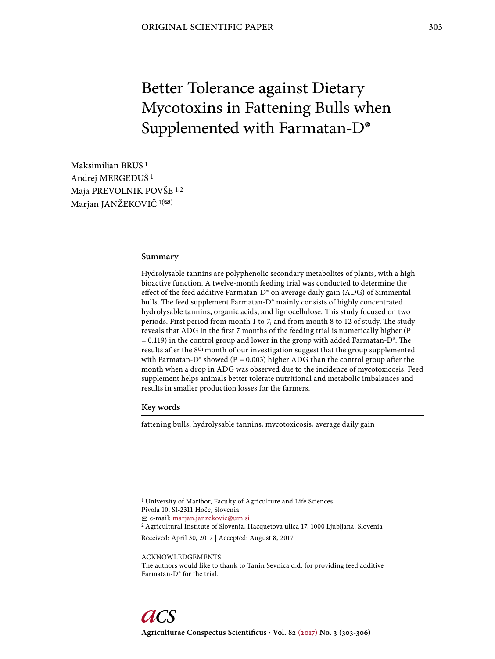# Better Tolerance against Dietary Mycotoxins in Fattening Bulls when Supplemented with Farmatan-D®

Maksimiljan BRUS 1 Andrej MERGEDUŠ 1 Maja PREVOLNIK POVŠE 1,2 Marjan JANŽEKOVIČ<sup>1(2)</sup>

#### **Summary**

Hydrolysable tannins are polyphenolic secondary metabolites of plants, with a high bioactive function. A twelve-month feeding trial was conducted to determine the effect of the feed additive Farmatan-D® on average daily gain (ADG) of Simmental bulls. The feed supplement Farmatan-D® mainly consists of highly concentrated hydrolysable tannins, organic acids, and lignocellulose. This study focused on two periods. First period from month 1 to 7, and from month 8 to 12 of study. The study reveals that ADG in the first 7 months of the feeding trial is numerically higher (P  $= 0.119$ ) in the control group and lower in the group with added Farmatan-D $^{\circ}$ . The results after the 8<sup>th</sup> month of our investigation suggest that the group supplemented with Farmatan-D<sup>®</sup> showed (P = 0.003) higher ADG than the control group after the month when a drop in ADG was observed due to the incidence of mycotoxicosis. Feed supplement helps animals better tolerate nutritional and metabolic imbalances and results in smaller production losses for the farmers.

#### **Key words**

fattening bulls, hydrolysable tannins, mycotoxicosis, average daily gain

1 University of Maribor, Faculty of Agriculture and Life Sciences, Pivola 10, SI-2311 Hoče, Slovenia e-mail: marjan.janzekovic@um.si 2 Agricultural Institute of Slovenia, Hacquetova ulica 17, 1000 Ljubljana, Slovenia Received: April 30, 2017 | Accepted: August 8, 2017

ACKNOWLEDGEMENTS The authors would like to thank to Tanin Sevnica d.d. for providing feed additive Farmatan-D® for the trial.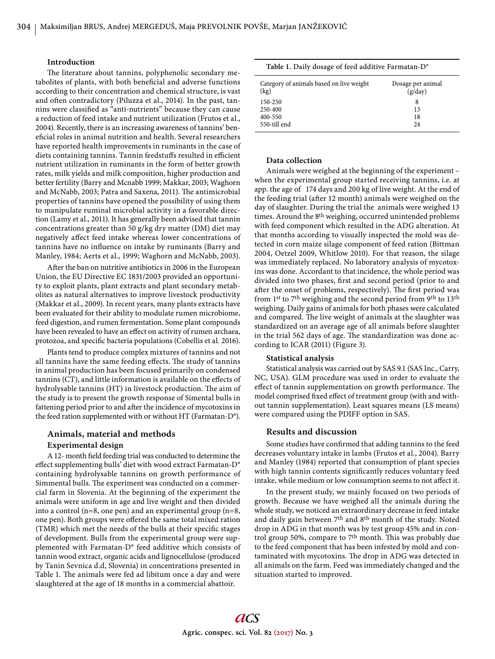# **Introduction**

The literature about tannins, polyphenolic secondary metabolites of plants, with both beneficial and adverse functions according to their concentration and chemical structure, is vast and often contradictory (Piluzza et al., 2014). In the past, tannins were classified as "anti-nutrients" because they can cause a reduction of feed intake and nutrient utilization (Frutos et al., 2004). Recently, there is an increasing awareness of tannins' beneficial roles in animal nutrition and health. Several researchers have reported health improvements in ruminants in the case of diets containing tannins. Tannin feedstuffs resulted in efficient nutrient utilization in ruminants in the form of better growth rates, milk yields and milk composition, higher production and better fertility (Barry and Mcnabb 1999; Makkar, 2003; Waghorn and McNabb, 2003; Patra and Saxena, 2011). The antimicrobial properties of tannins have opened the possibility of using them to manipulate ruminal microbial activity in a favorable direction (Lamy et al., 2011). It has generally been advised that tannin concentrations greater than 50 g/kg dry matter (DM) diet may negatively affect feed intake whereas lower concentrations of tannins have no influence on intake by ruminants (Barry and Manley, 1984; Aerts et al., 1999; Waghorn and McNabb, 2003).

After the ban on nutritive antibiotics in 2006 in the European Union, the EU Directive EC 1831/2003 provided an opportunity to exploit plants, plant extracts and plant secondary metabolites as natural alternatives to improve livestock productivity (Makkar et al., 2009). In recent years, many plants extracts have been evaluated for their ability to modulate rumen microbiome, feed digestion, and rumen fermentation. Some plant compounds have been revealed to have an effect on activity of rumen archaea, protozoa, and specific bacteria populations (Cobellis et al. 2016).

Plants tend to produce complex mixtures of tannins and not all tannins have the same feeding effects. The study of tannins in animal production has been focused primarily on condensed tannins (CT), and little information is available on the effects of hydrolysable tannins (HT) in livestock production. The aim of the study is to present the growth response of Simental bulls in fattening period prior to and after the incidence of mycotoxins in the feed ration supplemented with or without HT (Farmatan-D®).

# **Animals, material and methods Experimental design**

A 12- month field feeding trial was conducted to determine the effect supplementing bulls' diet with wood extract Farmatan-D® containing hydrolysable tannins on growth performance of Simmental bulls. The experiment was conducted on a commercial farm in Slovenia. At the beginning of the experiment the animals were uniform in age and live weight and then divided into a control (n=8, one pen) and an experimental group (n=8, one pen). Both groups were offered the same total mixed ration (TMR) which met the needs of the bulls at their specific stages of development. Bulls from the experimental group were supplemented with Farmatan-D® feed additive which consists of tannin wood extract, organic acids and lignocellulose (produced by Tanin Sevnica d.d, Slovenia) in concentrations presented in Table 1. The animals were fed ad libitum once a day and were slaughtered at the age of 18 months in a commercial abattoir.

**Table 1.** Daily dosage of feed additive Farmatan-D®

| Category of animals based on live weight | Dosage per animal |
|------------------------------------------|-------------------|
| (kg)                                     | (g/day)           |
| 150-250                                  | 8                 |
| 250-400                                  | 13                |
| 400-550                                  | 18                |
| 550-till end                             | 24                |

# **Data collection**

Animals were weighed at the beginning of the experiment – when the experimental group started receiving tannins, i.e. at app. the age of 174 days and 200 kg of live weight. At the end of the feeding trial (after 12 month) animals were weighed on the day of slaughter. During the trial the animals were weighed 13 times. Around the 8<sup>th</sup> weighing, occurred unintended problems with feed component which resulted in the ADG alteration. At that months according to visually inspected the mold was detected in corn maize silage component of feed ration (Bittman 2004, Oetzel 2009, Whitlow 2010). For that reason, the silage was immediately replaced. No laboratory analysis of mycotoxins was done. Accordant to that incidence, the whole period was divided into two phases, first and second period (prior to and after the onset of problems, respectively). The first period was from 1st to 7th weighing and the second period from 9th to 13th weighing. Daily gains of animals for both phases were calculated and compared. The live weight of animals at the slaughter was standardized on an average age of all animals before slaughter in the trial 562 days of age. The standardization was done according to ICAR (2011) (Figure 3).

## **Statistical analysis**

Statistical analysis was carried out by SAS 9.1 (SAS Inc., Carry, NC, USA). GLM procedure was used in order to evaluate the effect of tannin supplementation on growth performance. The model comprised fixed effect of treatment group (with and without tannin supplementation). Least squares means (LS means) were compared using the PDIFF option in SAS.

#### **Results and discussion**

Some studies have confirmed that adding tannins to the feed decreases voluntary intake in lambs (Frutos et al., 2004). Barry and Manley (1984) reported that consumption of plant species with high tannin contents significantly reduces voluntary feed intake, while medium or low consumption seems to not affect it.

In the present study, we mainly focused on two periods of growth. Because we have weighed all the animals during the whole study, we noticed an extraordinary decrease in feed intake and daily gain between 7th and 8th month of the study. Noted drop in ADG in that month was by test group 45% and in control group 50%, compare to  $7<sup>th</sup>$  month. This was probably due to the feed component that has been infested by mold and contaminated with mycotoxins. The drop in ADG was detected in all animals on the farm. Feed was immediately changed and the situation started to improved.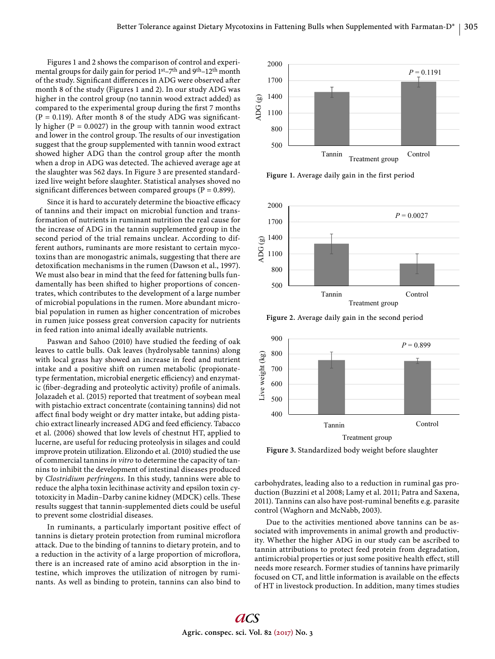Figures 1 and 2 shows the comparison of control and experimental groups for daily gain for period 1<sup>st</sup>-7<sup>th</sup> and 9<sup>th</sup>-12<sup>th</sup> month of the study. Significant differences in ADG were observed after month 8 of the study (Figures 1 and 2). In our study ADG was higher in the control group (no tannin wood extract added) as compared to the experimental group during the first 7 months ( $P = 0.119$ ). After month 8 of the study ADG was significantly higher ( $P = 0.0027$ ) in the group with tannin wood extract and lower in the control group. The results of our investigation suggest that the group supplemented with tannin wood extract showed higher ADG than the control group after the month when a drop in ADG was detected. The achieved average age at the slaughter was 562 days. In Figure 3 are presented standardized live weight before slaughter. Statistical analyses shoved no significant differences between compared groups ( $P = 0.899$ ).

Since it is hard to accurately determine the bioactive efficacy of tannins and their impact on microbial function and transformation of nutrients in ruminant nutrition the real cause for the increase of ADG in the tannin supplemented group in the second period of the trial remains unclear. According to different authors, ruminants are more resistant to certain mycotoxins than are monogastric animals, suggesting that there are detoxification mechanisms in the rumen (Dawson et al., 1997). We must also bear in mind that the feed for fattening bulls fundamentally has been shifted to higher proportions of concentrates, which contributes to the development of a large number of microbial populations in the rumen. More abundant microbial population in rumen as higher concentration of microbes in rumen juice possess great conversion capacity for nutrients in feed ration into animal ideally available nutrients.

Paswan and Sahoo (2010) have studied the feeding of oak leaves to cattle bulls. Oak leaves (hydrolysable tannins) along with local grass hay showed an increase in feed and nutrient intake and a positive shift on rumen metabolic (propionatetype fermentation, microbial energetic efficiency) and enzymatic (fiber-degrading and proteolytic activity) profile of animals. Jolazadeh et al. (2015) reported that treatment of soybean meal with pistachio extract concentrate (containing tannins) did not affect final body weight or dry matter intake, but adding pistachio extract linearly increased ADG and feed efficiency. Tabacco et al. (2006) showed that low levels of chestnut HT, applied to lucerne, are useful for reducing proteolysis in silages and could improve protein utilization. Elizondo et al. (2010) studied the use of commercial tannins *in vitro* to determine the capacity of tannins to inhibit the development of intestinal diseases produced by *Clostridium perfringens*. In this study, tannins were able to reduce the alpha toxin lecithinase activity and epsilon toxin cytotoxicity in Madin-Darby canine kidney (MDCK) cells. These results suggest that tannin-supplemented diets could be useful to prevent some clostridial diseases.

In ruminants, a particularly important positive effect of tannins is dietary protein protection from ruminal microflora attack. Due to the binding of tannins to dietary protein, and to a reduction in the activity of a large proportion of microflora, there is an increased rate of amino acid absorption in the intestine, which improves the utilization of nitrogen by ruminants. As well as binding to protein, tannins can also bind to



**Figure 1.** Average daily gain in the first period



**Figure 2.** Average daily gain in the second period



**Figure 3.** Standardized body weight before slaughter

carbohydrates, leading also to a reduction in ruminal gas production (Buzzini et al 2008; Lamy et al. 2011; Patra and Saxena, 2011). Tannins can also have post-ruminal benefits e.g. parasite control (Waghorn and McNabb, 2003).

Due to the activities mentioned above tannins can be associated with improvements in animal growth and productivity. Whether the higher ADG in our study can be ascribed to tannin attributions to protect feed protein from degradation, antimicrobial properties or just some positive health effect, still needs more research. Former studies of tannins have primarily focused on CT, and little information is available on the effects of HT in livestock production. In addition, many times studies